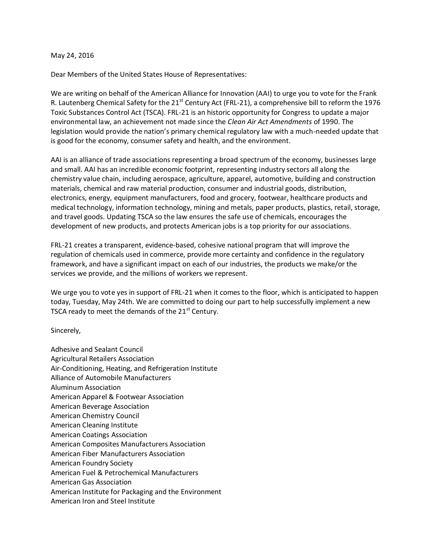## May 24, 2016

Dear Members of the United States House of Representatives:

We are writing on behalf of the American Alliance for Innovation (AAI) to urge you to vote for the Frank R. Lautenberg Chemical Safety for the 21<sup>st</sup> Century Act (FRL-21), a comprehensive bill to reform the 1976 Toxic Substances Control Act (TSCA). FRL-21 is an historic opportunity for Congress to update a major environmental law, an achievement not made since the *Clean Air Act Amendments* of 1990. The legislation would provide the nation's primary chemical regulatory law with a much-needed update that is good for the economy, consumer safety and health, and the environment.

AAI is an alliance of trade associations representing a broad spectrum of the economy, businesses large and small. AAI has an incredible economic footprint, representing industry sectors all along the chemistry value chain, including aerospace, agriculture, apparel, automotive, building and construction materials, chemical and raw material production, consumer and industrial goods, distribution, electronics, energy, equipment manufacturers, food and grocery, footwear, healthcare products and medical technology, information technology, mining and metals, paper products, plastics, retail, storage, and travel goods. Updating TSCA so the law ensures the safe use of chemicals, encourages the development of new products, and protects American jobs is a top priority for our associations.

FRL-21 creates a transparent, evidence-based, cohesive national program that will improve the regulation of chemicals used in commerce, provide more certainty and confidence in the regulatory framework, and have a significant impact on each of our industries, the products we make/or the services we provide, and the millions of workers we represent.

We urge you to vote yes in support of FRL-21 when it comes to the floor, which is anticipated to happen today, Tuesday, May 24th. We are committed to doing our part to help successfully implement a new TSCA ready to meet the demands of the  $21<sup>st</sup>$  Century.

Sincerely,

Adhesive and Sealant Council Agricultural Retailers Association Air-Conditioning, Heating, and Refrigeration Institute Alliance of Automobile Manufacturers Aluminum Association American Apparel & Footwear Association American Beverage Association American Chemistry Council American Cleaning Institute American Coatings Association American Composites Manufacturers Association American Fiber Manufacturers Association American Foundry Society American Fuel & Petrochemical Manufacturers American Gas Association American Institute for Packaging and the Environment American Iron and Steel Institute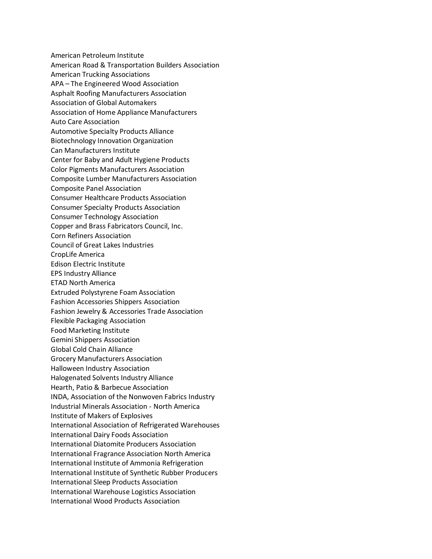American Petroleum Institute American Road & Transportation Builders Association American Trucking Associations APA – The Engineered Wood Association Asphalt Roofing Manufacturers Association Association of Global Automakers Association of Home Appliance Manufacturers Auto Care Association Automotive Specialty Products Alliance Biotechnology Innovation Organization Can Manufacturers Institute Center for Baby and Adult Hygiene Products Color Pigments Manufacturers Association Composite Lumber Manufacturers Association Composite Panel Association Consumer Healthcare Products Association Consumer Specialty Products Association Consumer Technology Association Copper and Brass Fabricators Council, Inc. Corn Refiners Association Council of Great Lakes Industries CropLife America Edison Electric Institute EPS Industry Alliance ETAD North America Extruded Polystyrene Foam Association Fashion Accessories Shippers Association Fashion Jewelry & Accessories Trade Association Flexible Packaging Association Food Marketing Institute Gemini Shippers Association Global Cold Chain Alliance Grocery Manufacturers Association Halloween Industry Association Halogenated Solvents Industry Alliance Hearth, Patio & Barbecue Association INDA, Association of the Nonwoven Fabrics Industry Industrial Minerals Association - North America Institute of Makers of Explosives International Association of Refrigerated Warehouses International Dairy Foods Association International Diatomite Producers Association International Fragrance Association North America International Institute of Ammonia Refrigeration International Institute of Synthetic Rubber Producers International Sleep Products Association International Warehouse Logistics Association International Wood Products Association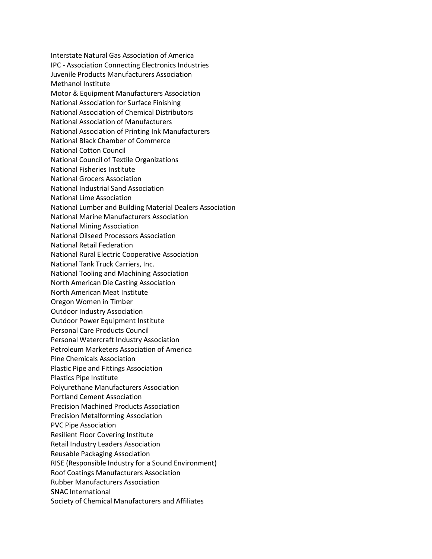Interstate Natural Gas Association of America IPC - Association Connecting Electronics Industries Juvenile Products Manufacturers Association Methanol Institute Motor & Equipment Manufacturers Association National Association for Surface Finishing National Association of Chemical Distributors National Association of Manufacturers National Association of Printing Ink Manufacturers National Black Chamber of Commerce National Cotton Council National Council of Textile Organizations National Fisheries Institute National Grocers Association National Industrial Sand Association National Lime Association National Lumber and Building Material Dealers Association National Marine Manufacturers Association National Mining Association National Oilseed Processors Association National Retail Federation National Rural Electric Cooperative Association National Tank Truck Carriers, Inc. National Tooling and Machining Association North American Die Casting Association North American Meat Institute Oregon Women in Timber Outdoor Industry Association Outdoor Power Equipment Institute Personal Care Products Council Personal Watercraft Industry Association Petroleum Marketers Association of America Pine Chemicals Association Plastic Pipe and Fittings Association Plastics Pipe Institute Polyurethane Manufacturers Association Portland Cement Association Precision Machined Products Association Precision Metalforming Association PVC Pipe Association Resilient Floor Covering Institute Retail Industry Leaders Association Reusable Packaging Association RISE (Responsible Industry for a Sound Environment) Roof Coatings Manufacturers Association Rubber Manufacturers Association SNAC International Society of Chemical Manufacturers and Affiliates